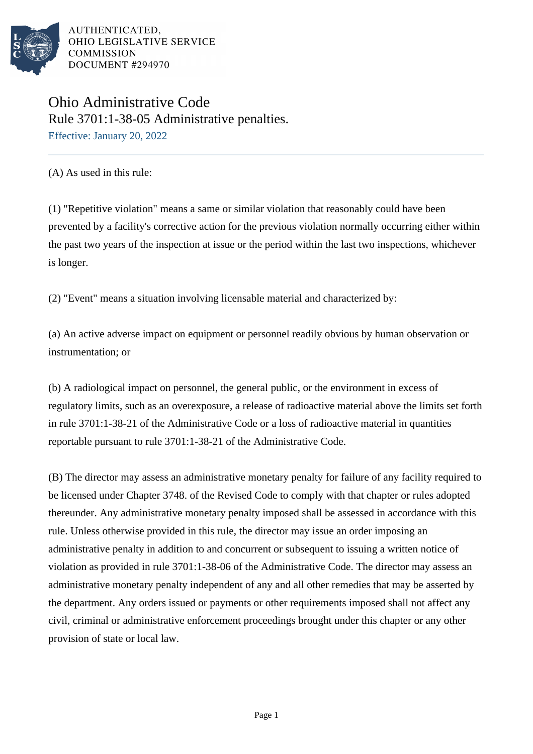

## Ohio Administrative Code Rule 3701:1-38-05 Administrative penalties.

Effective: January 20, 2022

(A) As used in this rule:

(1) "Repetitive violation" means a same or similar violation that reasonably could have been prevented by a facility's corrective action for the previous violation normally occurring either within the past two years of the inspection at issue or the period within the last two inspections, whichever is longer.

(2) "Event" means a situation involving licensable material and characterized by:

(a) An active adverse impact on equipment or personnel readily obvious by human observation or instrumentation; or

(b) A radiological impact on personnel, the general public, or the environment in excess of regulatory limits, such as an overexposure, a release of radioactive material above the limits set forth in rule 3701:1-38-21 of the Administrative Code or a loss of radioactive material in quantities reportable pursuant to rule 3701:1-38-21 of the Administrative Code.

(B) The director may assess an administrative monetary penalty for failure of any facility required to be licensed under Chapter 3748. of the Revised Code to comply with that chapter or rules adopted thereunder. Any administrative monetary penalty imposed shall be assessed in accordance with this rule. Unless otherwise provided in this rule, the director may issue an order imposing an administrative penalty in addition to and concurrent or subsequent to issuing a written notice of violation as provided in rule 3701:1-38-06 of the Administrative Code. The director may assess an administrative monetary penalty independent of any and all other remedies that may be asserted by the department. Any orders issued or payments or other requirements imposed shall not affect any civil, criminal or administrative enforcement proceedings brought under this chapter or any other provision of state or local law.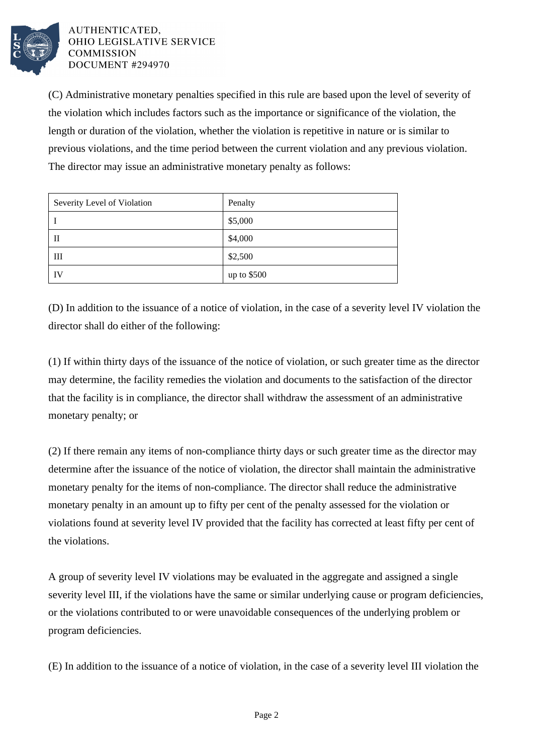

(C) Administrative monetary penalties specified in this rule are based upon the level of severity of the violation which includes factors such as the importance or significance of the violation, the length or duration of the violation, whether the violation is repetitive in nature or is similar to previous violations, and the time period between the current violation and any previous violation. The director may issue an administrative monetary penalty as follows:

| Severity Level of Violation | Penalty     |
|-----------------------------|-------------|
|                             | \$5,000     |
| П                           | \$4,000     |
| Ш                           | \$2,500     |
| IV                          | up to \$500 |

(D) In addition to the issuance of a notice of violation, in the case of a severity level IV violation the director shall do either of the following:

(1) If within thirty days of the issuance of the notice of violation, or such greater time as the director may determine, the facility remedies the violation and documents to the satisfaction of the director that the facility is in compliance, the director shall withdraw the assessment of an administrative monetary penalty; or

(2) If there remain any items of non-compliance thirty days or such greater time as the director may determine after the issuance of the notice of violation, the director shall maintain the administrative monetary penalty for the items of non-compliance. The director shall reduce the administrative monetary penalty in an amount up to fifty per cent of the penalty assessed for the violation or violations found at severity level IV provided that the facility has corrected at least fifty per cent of the violations.

A group of severity level IV violations may be evaluated in the aggregate and assigned a single severity level III, if the violations have the same or similar underlying cause or program deficiencies, or the violations contributed to or were unavoidable consequences of the underlying problem or program deficiencies.

(E) In addition to the issuance of a notice of violation, in the case of a severity level III violation the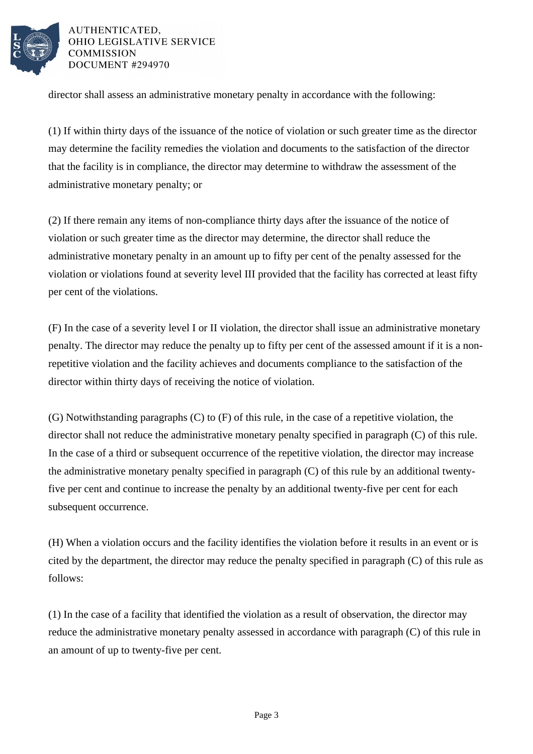

director shall assess an administrative monetary penalty in accordance with the following:

(1) If within thirty days of the issuance of the notice of violation or such greater time as the director may determine the facility remedies the violation and documents to the satisfaction of the director that the facility is in compliance, the director may determine to withdraw the assessment of the administrative monetary penalty; or

(2) If there remain any items of non-compliance thirty days after the issuance of the notice of violation or such greater time as the director may determine, the director shall reduce the administrative monetary penalty in an amount up to fifty per cent of the penalty assessed for the violation or violations found at severity level III provided that the facility has corrected at least fifty per cent of the violations.

(F) In the case of a severity level I or II violation, the director shall issue an administrative monetary penalty. The director may reduce the penalty up to fifty per cent of the assessed amount if it is a nonrepetitive violation and the facility achieves and documents compliance to the satisfaction of the director within thirty days of receiving the notice of violation.

(G) Notwithstanding paragraphs (C) to (F) of this rule, in the case of a repetitive violation, the director shall not reduce the administrative monetary penalty specified in paragraph (C) of this rule. In the case of a third or subsequent occurrence of the repetitive violation, the director may increase the administrative monetary penalty specified in paragraph (C) of this rule by an additional twentyfive per cent and continue to increase the penalty by an additional twenty-five per cent for each subsequent occurrence.

(H) When a violation occurs and the facility identifies the violation before it results in an event or is cited by the department, the director may reduce the penalty specified in paragraph (C) of this rule as follows:

(1) In the case of a facility that identified the violation as a result of observation, the director may reduce the administrative monetary penalty assessed in accordance with paragraph (C) of this rule in an amount of up to twenty-five per cent.